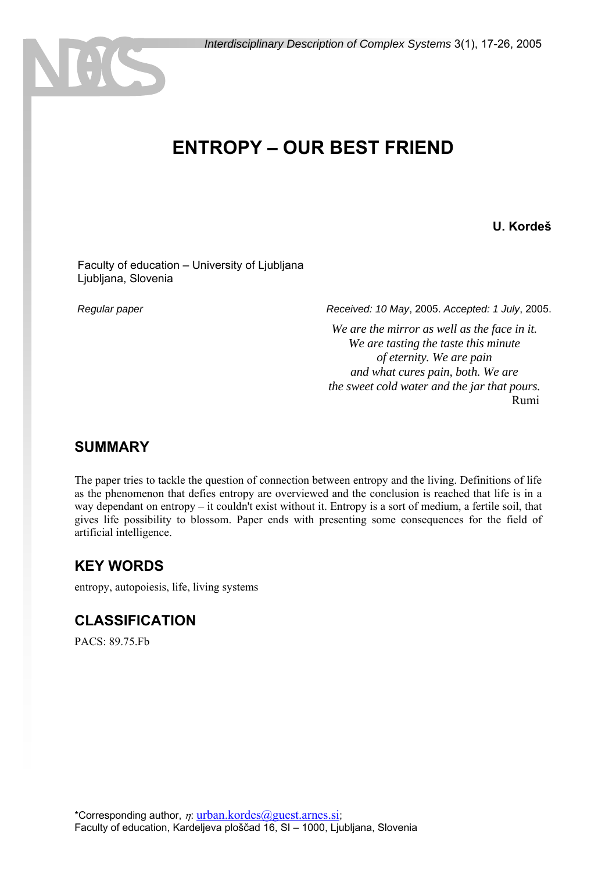# **ENTROPY – OUR BEST FRIEND**

#### **U. Kordeš**

 Faculty of education – University of Ljubljana Ljubljana, Slovenia

NHS

 *Regular paper Received: 10 May*, 2005. *Accepted: 1 July*, 2005.

*We are the mirror as well as the face in it. We are tasting the taste this minute of eternity. We are pain and what cures pain, both. We are the sweet cold water and the jar that pours.*  Rumi

#### **SUMMARY**

The paper tries to tackle the question of connection between entropy and the living. Definitions of life as the phenomenon that defies entropy are overviewed and the conclusion is reached that life is in a way dependant on entropy – it couldn't exist without it. Entropy is a sort of medium, a fertile soil, that gives life possibility to blossom. Paper ends with presenting some consequences for the field of artificial intelligence.

#### **KEY WORDS**

entropy, autopoiesis, life, living systems

#### **CLASSIFICATION**

PACS: 89.75.Fb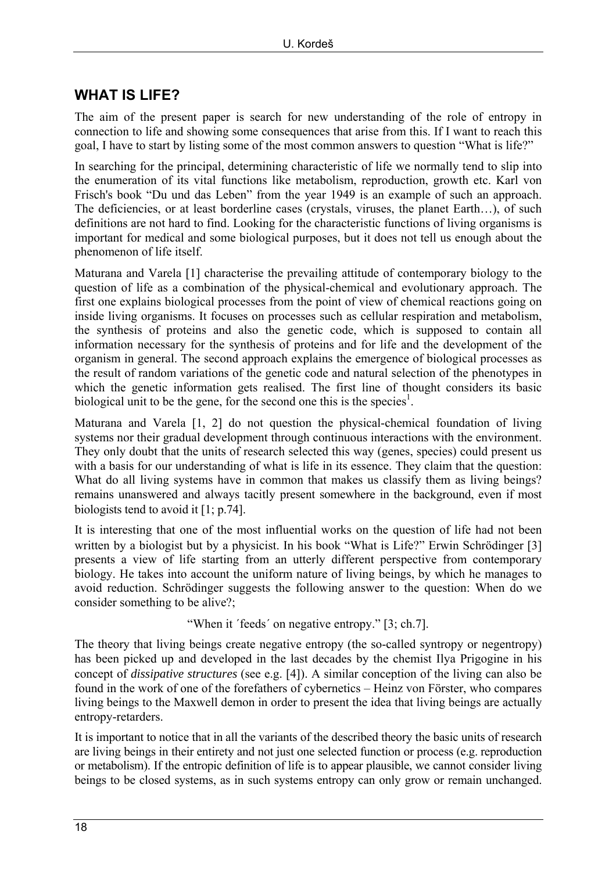# **WHAT IS LIFE?**

The aim of the present paper is search for new understanding of the role of entropy in connection to life and showing some consequences that arise from this. If I want to reach this goal, I have to start by listing some of the most common answers to question "What is life?"

In searching for the principal, determining characteristic of life we normally tend to slip into the enumeration of its vital functions like metabolism, reproduction, growth etc. Karl von Frisch's book "Du und das Leben" from the year 1949 is an example of such an approach. The deficiencies, or at least borderline cases (crystals, viruses, the planet Earth…), of such definitions are not hard to find. Looking for the characteristic functions of living organisms is important for medical and some biological purposes, but it does not tell us enough about the phenomenon of life itself.

Maturana and Varela [1] characterise the prevailing attitude of contemporary biology to the question of life as a combination of the physical-chemical and evolutionary approach. The first one explains biological processes from the point of view of chemical reactions going on inside living organisms. It focuses on processes such as cellular respiration and metabolism, the synthesis of proteins and also the genetic code, which is supposed to contain all information necessary for the synthesis of proteins and for life and the development of the organism in general. The second approach explains the emergence of biological processes as the result of random variations of the genetic code and natural selection of the phenotypes in which the genetic information gets realised. The first line of thought considers its basic biological unit to be the gene, for the second one this is the species<sup>1</sup>.

Maturana and Varela [1, 2] do not question the physical-chemical foundation of living systems nor their gradual development through continuous interactions with the environment. They only doubt that the units of research selected this way (genes, species) could present us with a basis for our understanding of what is life in its essence. They claim that the question: What do all living systems have in common that makes us classify them as living beings? remains unanswered and always tacitly present somewhere in the background, even if most biologists tend to avoid it [1; p.74].

It is interesting that one of the most influential works on the question of life had not been written by a biologist but by a physicist. In his book "What is Life?" Erwin Schrödinger [3] presents a view of life starting from an utterly different perspective from contemporary biology. He takes into account the uniform nature of living beings, by which he manages to avoid reduction. Schrödinger suggests the following answer to the question: When do we consider something to be alive?;

"When it ΄feeds΄ on negative entropy." [3; ch.7].

The theory that living beings create negative entropy (the so-called syntropy or negentropy) has been picked up and developed in the last decades by the chemist Ilya Prigogine in his concept of *dissipative structures* (see e.g. [4]). A similar conception of the living can also be found in the work of one of the forefathers of cybernetics – Heinz von Förster, who compares living beings to the Maxwell demon in order to present the idea that living beings are actually entropy-retarders.

It is important to notice that in all the variants of the described theory the basic units of research are living beings in their entirety and not just one selected function or process (e.g. reproduction or metabolism). If the entropic definition of life is to appear plausible, we cannot consider living beings to be closed systems, as in such systems entropy can only grow or remain unchanged.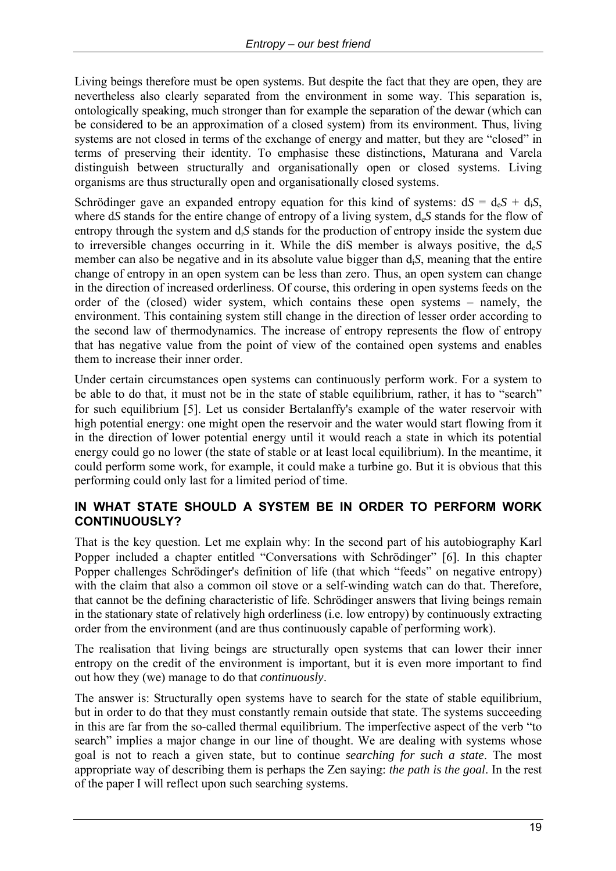Living beings therefore must be open systems. But despite the fact that they are open, they are nevertheless also clearly separated from the environment in some way. This separation is, ontologically speaking, much stronger than for example the separation of the dewar (which can be considered to be an approximation of a closed system) from its environment. Thus, living systems are not closed in terms of the exchange of energy and matter, but they are "closed" in terms of preserving their identity. To emphasise these distinctions, Maturana and Varela distinguish between structurally and organisationally open or closed systems. Living organisms are thus structurally open and organisationally closed systems.

Schrödinger gave an expanded entropy equation for this kind of systems:  $dS = d_eS + d_iS$ , where d*S* stands for the entire change of entropy of a living system,  $d_eS$  stands for the flow of entropy through the system and  $d_iS$  stands for the production of entropy inside the system due to irreversible changes occurring in it. While the diS member is always positive, the de*S* member can also be negative and in its absolute value bigger than di*S*, meaning that the entire change of entropy in an open system can be less than zero. Thus, an open system can change in the direction of increased orderliness. Of course, this ordering in open systems feeds on the order of the (closed) wider system, which contains these open systems – namely, the environment. This containing system still change in the direction of lesser order according to the second law of thermodynamics. The increase of entropy represents the flow of entropy that has negative value from the point of view of the contained open systems and enables them to increase their inner order.

Under certain circumstances open systems can continuously perform work. For a system to be able to do that, it must not be in the state of stable equilibrium, rather, it has to "search" for such equilibrium [5]. Let us consider Bertalanffy's example of the water reservoir with high potential energy: one might open the reservoir and the water would start flowing from it in the direction of lower potential energy until it would reach a state in which its potential energy could go no lower (the state of stable or at least local equilibrium). In the meantime, it could perform some work, for example, it could make a turbine go. But it is obvious that this performing could only last for a limited period of time.

#### **IN WHAT STATE SHOULD A SYSTEM BE IN ORDER TO PERFORM WORK CONTINUOUSLY?**

That is the key question. Let me explain why: In the second part of his autobiography Karl Popper included a chapter entitled "Conversations with Schrödinger" [6]. In this chapter Popper challenges Schrödinger's definition of life (that which "feeds" on negative entropy) with the claim that also a common oil stove or a self-winding watch can do that. Therefore, that cannot be the defining characteristic of life. Schrödinger answers that living beings remain in the stationary state of relatively high orderliness (i.e. low entropy) by continuously extracting order from the environment (and are thus continuously capable of performing work).

The realisation that living beings are structurally open systems that can lower their inner entropy on the credit of the environment is important, but it is even more important to find out how they (we) manage to do that *continuously*.

The answer is: Structurally open systems have to search for the state of stable equilibrium, but in order to do that they must constantly remain outside that state. The systems succeeding in this are far from the so-called thermal equilibrium. The imperfective aspect of the verb "to search" implies a major change in our line of thought. We are dealing with systems whose goal is not to reach a given state, but to continue *searching for such a state*. The most appropriate way of describing them is perhaps the Zen saying: *the path is the goal*. In the rest of the paper I will reflect upon such searching systems.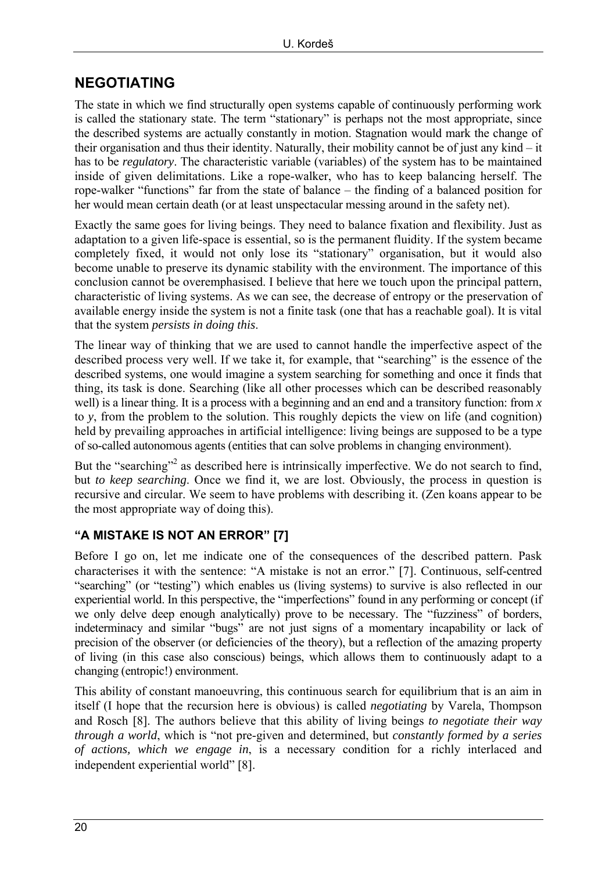## **NEGOTIATING**

The state in which we find structurally open systems capable of continuously performing work is called the stationary state. The term "stationary" is perhaps not the most appropriate, since the described systems are actually constantly in motion. Stagnation would mark the change of their organisation and thus their identity. Naturally, their mobility cannot be of just any kind – it has to be *regulatory*. The characteristic variable (variables) of the system has to be maintained inside of given delimitations. Like a rope-walker, who has to keep balancing herself. The rope-walker "functions" far from the state of balance – the finding of a balanced position for her would mean certain death (or at least unspectacular messing around in the safety net).

Exactly the same goes for living beings. They need to balance fixation and flexibility. Just as adaptation to a given life-space is essential, so is the permanent fluidity. If the system became completely fixed, it would not only lose its "stationary" organisation, but it would also become unable to preserve its dynamic stability with the environment. The importance of this conclusion cannot be overemphasised. I believe that here we touch upon the principal pattern, characteristic of living systems. As we can see, the decrease of entropy or the preservation of available energy inside the system is not a finite task (one that has a reachable goal). It is vital that the system *persists in doing this*.

The linear way of thinking that we are used to cannot handle the imperfective aspect of the described process very well. If we take it, for example, that "searching" is the essence of the described systems, one would imagine a system searching for something and once it finds that thing, its task is done. Searching (like all other processes which can be described reasonably well) is a linear thing. It is a process with a beginning and an end and a transitory function: from *x* to *y*, from the problem to the solution. This roughly depicts the view on life (and cognition) held by prevailing approaches in artificial intelligence: living beings are supposed to be a type of so-called autonomous agents (entities that can solve problems in changing environment).

But the "searching"<sup>2</sup> as described here is intrinsically imperfective. We do not search to find, but *to keep searching*. Once we find it, we are lost. Obviously, the process in question is recursive and circular. We seem to have problems with describing it. (Zen koans appear to be the most appropriate way of doing this).

#### **"A MISTAKE IS NOT AN ERROR" [7]**

Before I go on, let me indicate one of the consequences of the described pattern. Pask characterises it with the sentence: "A mistake is not an error." [7]. Continuous, self-centred "searching" (or "testing") which enables us (living systems) to survive is also reflected in our experiential world. In this perspective, the "imperfections" found in any performing or concept (if we only delve deep enough analytically) prove to be necessary. The "fuzziness" of borders, indeterminacy and similar "bugs" are not just signs of a momentary incapability or lack of precision of the observer (or deficiencies of the theory), but a reflection of the amazing property of living (in this case also conscious) beings, which allows them to continuously adapt to a changing (entropic!) environment.

This ability of constant manoeuvring, this continuous search for equilibrium that is an aim in itself (I hope that the recursion here is obvious) is called *negotiating* by Varela, Thompson and Rosch [8]. The authors believe that this ability of living beings *to negotiate their way through a world*, which is "not pre-given and determined, but *constantly formed by a series of actions, which we engage in*, is a necessary condition for a richly interlaced and independent experiential world" [8].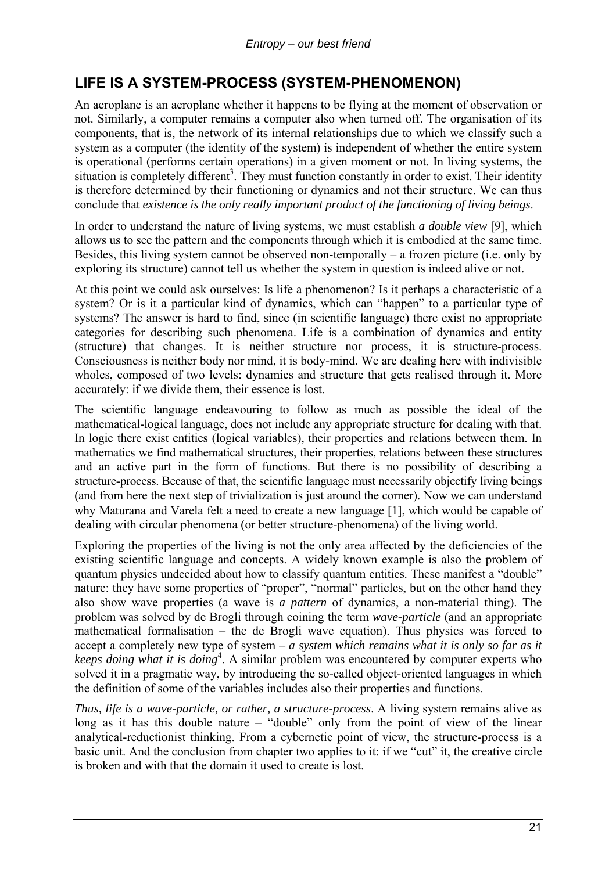## **LIFE IS A SYSTEM-PROCESS (SYSTEM-PHENOMENON)**

An aeroplane is an aeroplane whether it happens to be flying at the moment of observation or not. Similarly, a computer remains a computer also when turned off. The organisation of its components, that is, the network of its internal relationships due to which we classify such a system as a computer (the identity of the system) is independent of whether the entire system is operational (performs certain operations) in a given moment or not. In living systems, the situation is completely different<sup>3</sup>. They must function constantly in order to exist. Their identity is therefore determined by their functioning or dynamics and not their structure. We can thus conclude that *existence is the only really important product of the functioning of living beings*.

In order to understand the nature of living systems, we must establish *a double view* [9], which allows us to see the pattern and the components through which it is embodied at the same time. Besides, this living system cannot be observed non-temporally – a frozen picture (i.e. only by exploring its structure) cannot tell us whether the system in question is indeed alive or not.

At this point we could ask ourselves: Is life a phenomenon? Is it perhaps a characteristic of a system? Or is it a particular kind of dynamics, which can "happen" to a particular type of systems? The answer is hard to find, since (in scientific language) there exist no appropriate categories for describing such phenomena. Life is a combination of dynamics and entity (structure) that changes. It is neither structure nor process, it is structure-process. Consciousness is neither body nor mind, it is body-mind. We are dealing here with indivisible wholes, composed of two levels: dynamics and structure that gets realised through it. More accurately: if we divide them, their essence is lost.

The scientific language endeavouring to follow as much as possible the ideal of the mathematical-logical language, does not include any appropriate structure for dealing with that. In logic there exist entities (logical variables), their properties and relations between them. In mathematics we find mathematical structures, their properties, relations between these structures and an active part in the form of functions. But there is no possibility of describing a structure-process. Because of that, the scientific language must necessarily objectify living beings (and from here the next step of trivialization is just around the corner). Now we can understand why Maturana and Varela felt a need to create a new language [1], which would be capable of dealing with circular phenomena (or better structure-phenomena) of the living world.

Exploring the properties of the living is not the only area affected by the deficiencies of the existing scientific language and concepts. A widely known example is also the problem of quantum physics undecided about how to classify quantum entities. These manifest a "double" nature: they have some properties of "proper", "normal" particles, but on the other hand they also show wave properties (a wave is *a pattern* of dynamics, a non-material thing). The problem was solved by de Brogli through coining the term *wave-particle* (and an appropriate mathematical formalisation – the de Brogli wave equation). Thus physics was forced to accept a completely new type of system – *a system which remains what it is only so far as it keeps doing what it is doing*<sup>4</sup> . A similar problem was encountered by computer experts who solved it in a pragmatic way, by introducing the so-called object-oriented languages in which the definition of some of the variables includes also their properties and functions.

*Thus, life is a wave-particle, or rather, a structure-process*. A living system remains alive as long as it has this double nature – "double" only from the point of view of the linear analytical-reductionist thinking. From a cybernetic point of view, the structure-process is a basic unit. And the conclusion from chapter two applies to it: if we "cut" it, the creative circle is broken and with that the domain it used to create is lost.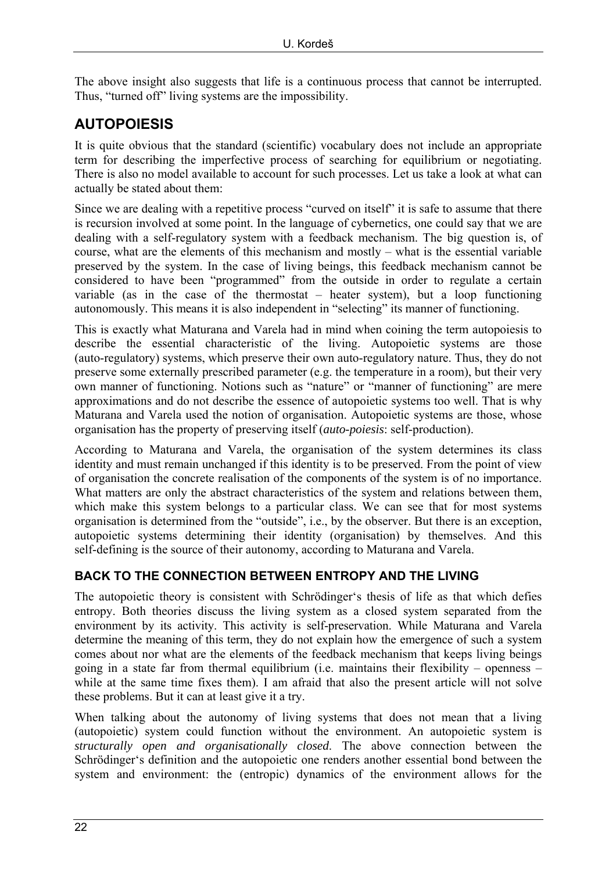The above insight also suggests that life is a continuous process that cannot be interrupted. Thus, "turned off" living systems are the impossibility.

# **AUTOPOIESIS**

It is quite obvious that the standard (scientific) vocabulary does not include an appropriate term for describing the imperfective process of searching for equilibrium or negotiating. There is also no model available to account for such processes. Let us take a look at what can actually be stated about them:

Since we are dealing with a repetitive process "curved on itself" it is safe to assume that there is recursion involved at some point. In the language of cybernetics, one could say that we are dealing with a self-regulatory system with a feedback mechanism. The big question is, of course, what are the elements of this mechanism and mostly – what is the essential variable preserved by the system. In the case of living beings, this feedback mechanism cannot be considered to have been "programmed" from the outside in order to regulate a certain variable (as in the case of the thermostat – heater system), but a loop functioning autonomously. This means it is also independent in "selecting" its manner of functioning.

This is exactly what Maturana and Varela had in mind when coining the term autopoiesis to describe the essential characteristic of the living. Autopoietic systems are those (auto-regulatory) systems, which preserve their own auto-regulatory nature. Thus, they do not preserve some externally prescribed parameter (e.g. the temperature in a room), but their very own manner of functioning. Notions such as "nature" or "manner of functioning" are mere approximations and do not describe the essence of autopoietic systems too well. That is why Maturana and Varela used the notion of organisation. Autopoietic systems are those, whose organisation has the property of preserving itself (*auto-poiesis*: self-production).

According to Maturana and Varela, the organisation of the system determines its class identity and must remain unchanged if this identity is to be preserved. From the point of view of organisation the concrete realisation of the components of the system is of no importance. What matters are only the abstract characteristics of the system and relations between them. which make this system belongs to a particular class. We can see that for most systems organisation is determined from the "outside", i.e., by the observer. But there is an exception, autopoietic systems determining their identity (organisation) by themselves. And this self-defining is the source of their autonomy, according to Maturana and Varela.

#### **BACK TO THE CONNECTION BETWEEN ENTROPY AND THE LIVING**

The autopoietic theory is consistent with Schrödinger's thesis of life as that which defies entropy. Both theories discuss the living system as a closed system separated from the environment by its activity. This activity is self-preservation. While Maturana and Varela determine the meaning of this term, they do not explain how the emergence of such a system comes about nor what are the elements of the feedback mechanism that keeps living beings going in a state far from thermal equilibrium (i.e. maintains their flexibility – openness – while at the same time fixes them). I am afraid that also the present article will not solve these problems. But it can at least give it a try.

When talking about the autonomy of living systems that does not mean that a living (autopoietic) system could function without the environment. An autopoietic system is *structurally open and organisationally closed*. The above connection between the Schrödinger's definition and the autopoietic one renders another essential bond between the system and environment: the (entropic) dynamics of the environment allows for the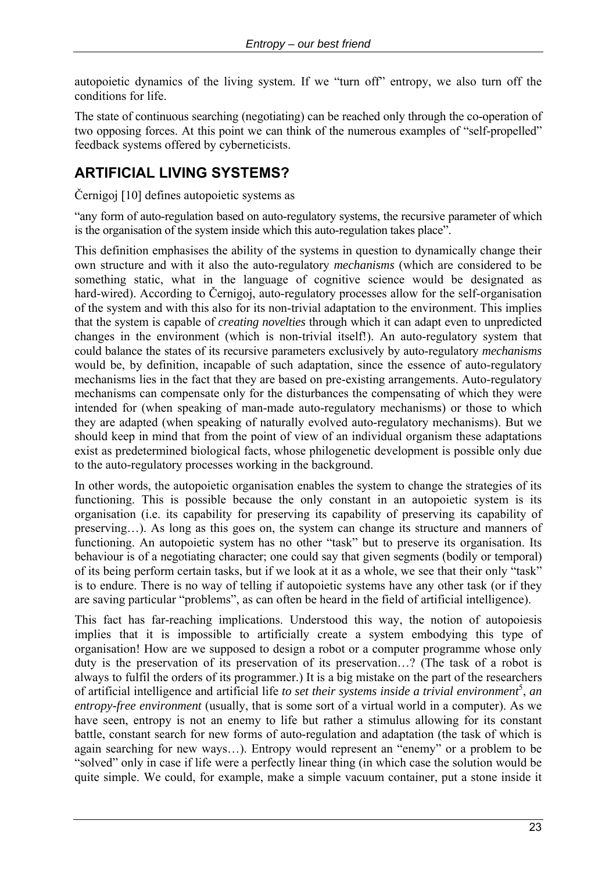autopoietic dynamics of the living system. If we "turn off" entropy, we also turn off the conditions for life.

The state of continuous searching (negotiating) can be reached only through the co-operation of two opposing forces. At this point we can think of the numerous examples of "self-propelled" feedback systems offered by cyberneticists.

# **ARTIFICIAL LIVING SYSTEMS?**

Černigoj [10] defines autopoietic systems as

"any form of auto-regulation based on auto-regulatory systems, the recursive parameter of which is the organisation of the system inside which this auto-regulation takes place".

This definition emphasises the ability of the systems in question to dynamically change their own structure and with it also the auto-regulatory *mechanisms* (which are considered to be something static, what in the language of cognitive science would be designated as hard-wired). According to Černigoj, auto-regulatory processes allow for the self-organisation of the system and with this also for its non-trivial adaptation to the environment. This implies that the system is capable of *creating novelties* through which it can adapt even to unpredicted changes in the environment (which is non-trivial itself!). An auto-regulatory system that could balance the states of its recursive parameters exclusively by auto-regulatory *mechanisms* would be, by definition, incapable of such adaptation, since the essence of auto-regulatory mechanisms lies in the fact that they are based on pre-existing arrangements. Auto-regulatory mechanisms can compensate only for the disturbances the compensating of which they were intended for (when speaking of man-made auto-regulatory mechanisms) or those to which they are adapted (when speaking of naturally evolved auto-regulatory mechanisms). But we should keep in mind that from the point of view of an individual organism these adaptations exist as predetermined biological facts, whose philogenetic development is possible only due to the auto-regulatory processes working in the background.

In other words, the autopoietic organisation enables the system to change the strategies of its functioning. This is possible because the only constant in an autopoietic system is its organisation (i.e. its capability for preserving its capability of preserving its capability of preserving…). As long as this goes on, the system can change its structure and manners of functioning. An autopoietic system has no other "task" but to preserve its organisation. Its behaviour is of a negotiating character; one could say that given segments (bodily or temporal) of its being perform certain tasks, but if we look at it as a whole, we see that their only "task" is to endure. There is no way of telling if autopoietic systems have any other task (or if they are saving particular "problems", as can often be heard in the field of artificial intelligence).

This fact has far-reaching implications. Understood this way, the notion of autopoiesis implies that it is impossible to artificially create a system embodying this type of organisation! How are we supposed to design a robot or a computer programme whose only duty is the preservation of its preservation of its preservation…? (The task of a robot is always to fulfil the orders of its programmer.) It is a big mistake on the part of the researchers of artificial intelligence and artificial life *to set their systems inside a trivial environment*<sup>5</sup>, an *entropy-free environment* (usually, that is some sort of a virtual world in a computer). As we have seen, entropy is not an enemy to life but rather a stimulus allowing for its constant battle, constant search for new forms of auto-regulation and adaptation (the task of which is again searching for new ways…). Entropy would represent an "enemy" or a problem to be "solved" only in case if life were a perfectly linear thing (in which case the solution would be quite simple. We could, for example, make a simple vacuum container, put a stone inside it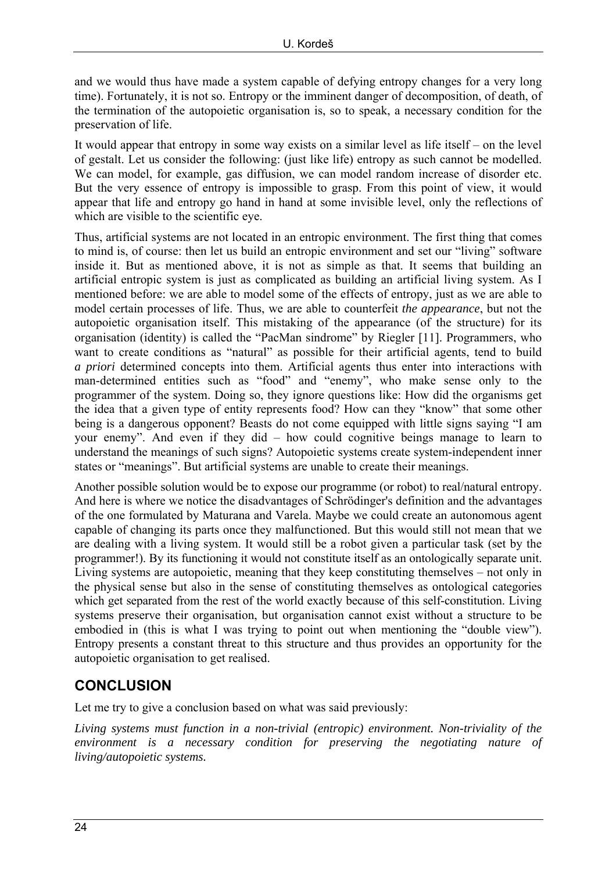and we would thus have made a system capable of defying entropy changes for a very long time). Fortunately, it is not so. Entropy or the imminent danger of decomposition, of death, of the termination of the autopoietic organisation is, so to speak, a necessary condition for the preservation of life.

It would appear that entropy in some way exists on a similar level as life itself – on the level of gestalt. Let us consider the following: (just like life) entropy as such cannot be modelled. We can model, for example, gas diffusion, we can model random increase of disorder etc. But the very essence of entropy is impossible to grasp. From this point of view, it would appear that life and entropy go hand in hand at some invisible level, only the reflections of which are visible to the scientific eye.

Thus, artificial systems are not located in an entropic environment. The first thing that comes to mind is, of course: then let us build an entropic environment and set our "living" software inside it. But as mentioned above, it is not as simple as that. It seems that building an artificial entropic system is just as complicated as building an artificial living system. As I mentioned before: we are able to model some of the effects of entropy, just as we are able to model certain processes of life. Thus, we are able to counterfeit *the appearance*, but not the autopoietic organisation itself. This mistaking of the appearance (of the structure) for its organisation (identity) is called the "PacMan sindrome" by Riegler [11]. Programmers, who want to create conditions as "natural" as possible for their artificial agents, tend to build *a priori* determined concepts into them. Artificial agents thus enter into interactions with man-determined entities such as "food" and "enemy", who make sense only to the programmer of the system. Doing so, they ignore questions like: How did the organisms get the idea that a given type of entity represents food? How can they "know" that some other being is a dangerous opponent? Beasts do not come equipped with little signs saying "I am your enemy". And even if they did – how could cognitive beings manage to learn to understand the meanings of such signs? Autopoietic systems create system-independent inner states or "meanings". But artificial systems are unable to create their meanings.

Another possible solution would be to expose our programme (or robot) to real/natural entropy. And here is where we notice the disadvantages of Schrödinger's definition and the advantages of the one formulated by Maturana and Varela. Maybe we could create an autonomous agent capable of changing its parts once they malfunctioned. But this would still not mean that we are dealing with a living system. It would still be a robot given a particular task (set by the programmer!). By its functioning it would not constitute itself as an ontologically separate unit. Living systems are autopoietic, meaning that they keep constituting themselves – not only in the physical sense but also in the sense of constituting themselves as ontological categories which get separated from the rest of the world exactly because of this self-constitution. Living systems preserve their organisation, but organisation cannot exist without a structure to be embodied in (this is what I was trying to point out when mentioning the "double view"). Entropy presents a constant threat to this structure and thus provides an opportunity for the autopoietic organisation to get realised.

# **CONCLUSION**

Let me try to give a conclusion based on what was said previously:

*Living systems must function in a non-trivial (entropic) environment. Non-triviality of the environment is a necessary condition for preserving the negotiating nature of living/autopoietic systems.*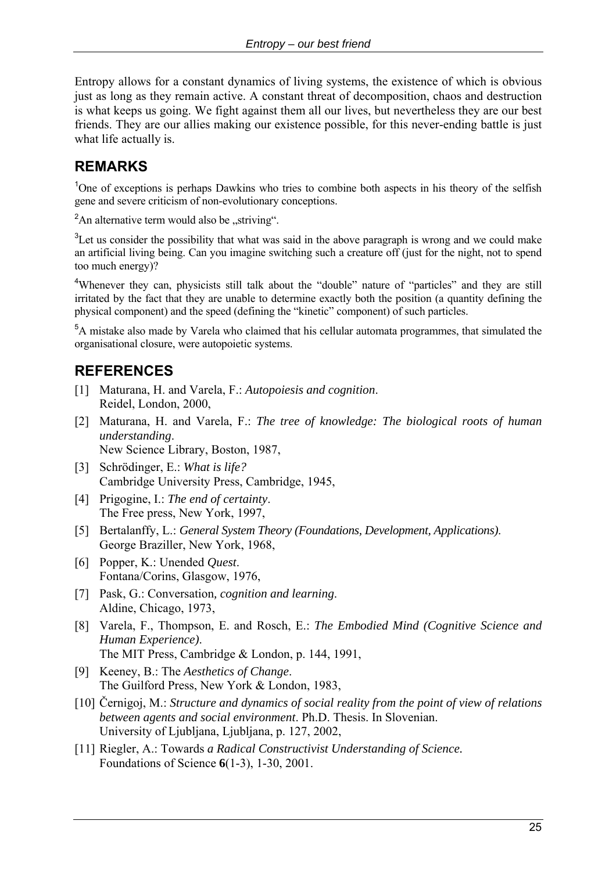Entropy allows for a constant dynamics of living systems, the existence of which is obvious just as long as they remain active. A constant threat of decomposition, chaos and destruction is what keeps us going. We fight against them all our lives, but nevertheless they are our best friends. They are our allies making our existence possible, for this never-ending battle is just what life actually is.

# **REMARKS**

<sup>1</sup>One of exceptions is perhaps Dawkins who tries to combine both aspects in his theory of the selfish gene and severe criticism of non-evolutionary conceptions.

 ${}^{2}$ An alternative term would also be "striving".

 $3$ Let us consider the possibility that what was said in the above paragraph is wrong and we could make an artificial living being. Can you imagine switching such a creature off (just for the night, not to spend too much energy)?

<sup>4</sup>Whenever they can, physicists still talk about the "double" nature of "particles" and they are still irritated by the fact that they are unable to determine exactly both the position (a quantity defining the physical component) and the speed (defining the "kinetic" component) of such particles.

<sup>5</sup>A mistake also made by Varela who claimed that his cellular automata programmes, that simulated the organisational closure, were autopoietic systems.

# **REFERENCES**

- [1] Maturana, H. and Varela, F.: *Autopoiesis and cognition*. Reidel, London, 2000,
- [2] Maturana, H. and Varela, F.: *The tree of knowledge: The biological roots of human understanding*. New Science Library, Boston, 1987,
- [3] Schrödinger, E.: *What is life?* Cambridge University Press, Cambridge, 1945,
- [4] Prigogine, I.: *The end of certainty*. The Free press, New York, 1997,
- [5] Bertalanffy, L.: *General System Theory (Foundations, Development, Applications)*. George Braziller, New York, 1968,
- [6] Popper, K.: Unended *Quest*. Fontana/Corins, Glasgow, 1976,
- [7] Pask, G.: Conversation*, cognition and learning*. Aldine, Chicago, 1973,
- [8] Varela, F., Thompson, E. and Rosch, E.: *The Embodied Mind (Cognitive Science and Human Experience)*. The MIT Press, Cambridge & London, p. 144, 1991,
- [9] Keeney, B.: The *Aesthetics of Change*. The Guilford Press, New York & London, 1983,
- [10] Černigoj, M.: *Structure and dynamics of social reality from the point of view of relations between agents and social environment*. Ph.D. Thesis. In Slovenian. University of Ljubljana, Ljubljana, p. 127, 2002,
- [11] Riegler, A.: Towards *a Radical Constructivist Understanding of Science.* Foundations of Science **6**(1-3), 1-30, 2001.